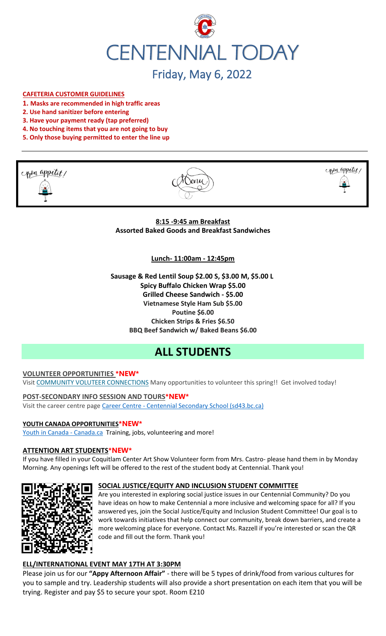

# Friday, May 6, 2022

#### **CAFETERIA CUSTOMER GUIDELINES**

- **1. Masks are recommended in high traffic areas**
- **2. Use hand sanitizer before entering**
- **3. Have your payment ready (tap preferred)**
- **4. No touching items that you are not going to buy**
- **5. Only those buying permitted to enter the line up**







**8:15 -9:45 am Breakfast Assorted Baked Goods and Breakfast Sandwiches**

**Lunch- 11:00am - 12:45pm**

**Sausage & Red Lentil Soup \$2.00 S, \$3.00 M, \$5.00 L Spicy Buffalo Chicken Wrap \$5.00 Grilled Cheese Sandwich - \$5.00 Vietnamese Style Ham Sub \$5.00 Poutine \$6.00 Chicken Strips & Fries \$6.50 BBQ Beef Sandwich w/ Baked Beans \$6.00**

# **ALL STUDENTS**

#### **VOLUNTEER OPPORTUNITIES \*NEW\***

Visit COMMUNITY VOLUTEER CONNECTIONS Many opportunities to volunteer this spring!! Get involved today!

**POST-SECONDARY INFO SESSION AND TOURS\*NEW\*** Visit the career centre page Career Centre - Centennial Secondary School (sd43.bc.ca)

#### **YOUTH CANADA OPPORTUNITIES\*NEW\***

Youth in Canada - Canada.ca Training, jobs, volunteering and more!

#### **ATTENTION ART STUDENTS\*NEW\***

If you have filled in your Coquitlam Center Art Show Volunteer form from Mrs. Castro- please hand them in by Monday Morning. Any openings left will be offered to the rest of the student body at Centennial. Thank you!

#### **SOCIAL JUSTICE/EQUITY AND INCLUSION STUDENT COMMITTEE**



Are you interested in exploring social justice issues in our Centennial Community? Do you have ideas on how to make Centennial a more inclusive and welcoming space for all? If you answered yes, join the Social Justice/Equity and Inclusion Student Committee! Our goal is to work towards initiatives that help connect our community, break down barriers, and create a more welcoming place for everyone. Contact Ms. Razzell if you're interested or scan the QR code and fill out the form. Thank you!

#### **ELL/INTERNATIONAL EVENT MAY 17TH AT 3:30PM**

Please join us for our **"Appy Afternoon Affair"** - there will be 5 types of drink/food from various cultures for you to sample and try. Leadership students will also provide a short presentation on each item that you will be trying. Register and pay \$5 to secure your spot. Room E210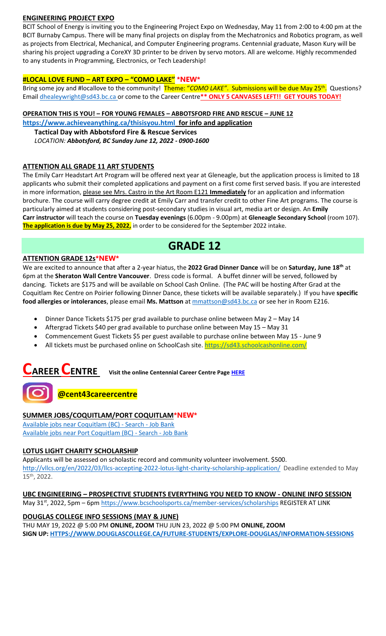#### **ENGINEERING PROJECT EXPO**

BCIT School of Energy is inviting you to the Engineering Project Expo on Wednesday, May 11 from 2:00 to 4:00 pm at the BCIT Burnaby Campus. There will be many final projects on display from the Mechatronics and Robotics program, as well as projects from Electrical, Mechanical, and Computer Engineering programs. Centennial graduate, Mason Kury will be sharing his project upgrading a CoreXY 3D printer to be driven by servo motors. All are welcome. Highly recommended to any students in Programming, Electronics, or Tech Leadership!

#### **#LOCAL LOVE FUND – ART EXPO – "COMO LAKE" \*NEW\***

Bring some joy and #locallove to the community! Theme: "COMO LAKE". Submissions will be due May 25<sup>th</sup>. Questions? Email [dhealeywright@sd43.bc.ca](mailto:dhealeywright@sd43.bc.ca) or come to the Career Centre**\*\* ONLY 5 CANVASES LEFT!! GET YOURS TODAY!**

#### **OPERATION THIS IS YOU! – FOR YOUNG FEMALES – ABBOTSFORD FIRE AND RESCUE – JUNE 12**

**<https://www.achieveanything.ca/thisisyou.html> for info and application**

**Tactical Day with Abbotsford Fire & Rescue Services**

*LOCATION: Abbotsford, BC Sunday June 12, 2022 - 0900-1600*

#### **ATTENTION ALL GRADE 11 ART STUDENTS**

The Emily Carr Headstart Art Program will be offered next year at Gleneagle, but the application process is limited to 18 applicants who submit their completed applications and payment on a first come first served basis. If you are interested in more information, please see Mrs. Castro in the Art Room E121 **Immediately** for an application and information brochure. The course will carry degree credit at Emily Carr and transfer credit to other Fine Art programs. The course is particularly aimed at students considering post-secondary studies in visual art, media art or design. An **Emily Carr instructor** will teach the course on **Tuesday evenings** (6.00pm - 9.00pm) at **Gleneagle Secondary School** (room 107). **The application is due by May 25, 2022,** in order to be considered for the September 2022 intake.

## **GRADE 12**

#### **ATTENTION GRADE 12s\*NEW\***

We are excited to announce that after a 2-year hiatus, the **2022 Grad Dinner Dance** will be on **Saturday, June 18th** at 6pm at the **Sheraton Wall Centre Vancouver**. Dress code is formal. A buffet dinner will be served, followed by dancing. Tickets are \$175 and will be available on School Cash Online. (The PAC will be hosting After Grad at the Coquitlam Rec Centre on Poirier following Dinner Dance, these tickets will be available separately.) If you have **specific food allergies or intolerances**, please email **Ms. Mattson** at [mmattson@sd43.bc.ca](mailto:mmattson@sd43.bc.ca) or see her in Room E216.

- Dinner Dance Tickets \$175 per grad available to purchase online between May 2 May 14
- Aftergrad Tickets \$40 per grad available to purchase online between May 15 May 31
- Commencement Guest Tickets \$5 per guest available to purchase online between May 15 June 9
- All tickets must be purchased online on SchoolCash site. <https://sd43.schoolcashonline.com/>

# **CAREER CENTRE Visit the online Centennial Career Centre Page [HERE](https://www.sd43.bc.ca/school/centennial/ProgramsServices/CareerCentre/experiences/Pages/default.aspx#/=)**

### **@cent43careercentre**

#### **SUMMER JOBS/COQUITLAM/PORT COQUITLAM\*NEW\***

[Available jobs near Coquitlam \(BC\) -](https://www.jobbank.gc.ca/jobsearch/jobsearch?fsrc=21&searchstring=&locationstring=COQUITLAM&mid=&button.submit=Search) Search - Job Bank [Available jobs near Port Coquitlam \(BC\) -](https://www.jobbank.gc.ca/jobsearch/jobsearch?searchstring=&locationstring=Port+Coquitlam%2C+BC&fsrc=21) Search - Job Bank

#### **LOTUS LIGHT CHARITY SCHOLARSHIP**

Applicants will be assessed on scholastic record and community volunteer involvement. \$500. <http://vllcs.org/en/2022/03/llcs-accepting-2022-lotus-light-charity-scholarship-application/> Deadline extended to May 15th, 2022.

#### **UBC ENGINEERING – PROSPECTIVE STUDENTS EVERYTHING YOU NEED TO KNOW - ONLINE INFO SESSION**

May 31<sup>st</sup>, 2022, 5pm – 6pm<https://www.bcschoolsports.ca/member-services/scholarships> REGISTER AT LINK

#### **DOUGLAS COLLEGE INFO SESSIONS (MAY & JUNE)**

THU MAY 19, 2022 @ 5:00 PM **ONLINE, ZOOM** THU JUN 23, 2022 @ 5:00 PM **ONLINE, ZOOM SIGN UP[: HTTPS://WWW.DOUGLASCOLLEGE.CA/FUTURE-STUDENTS/EXPLORE-DOUGLAS/INFORMATION-SESSIONS](https://www.douglascollege.ca/future-students/explore-douglas/information-sessions)**